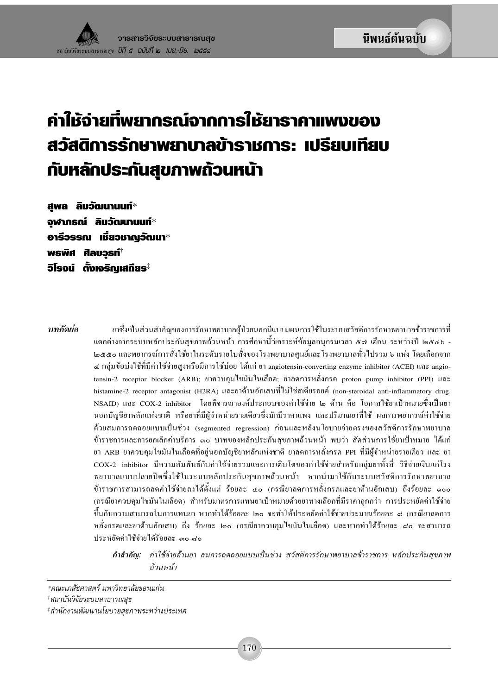# ค่าให้จ่ายที่พยากรณ์จากการให้ยาราคาแพงของ สวัสดิการรักษาพยาบาลข้าราชการ: เปรียบเทียบ กับหลักประกันสุขภาพถ้วนหน้า

สพล ลิมวัฒนานนท์\* จุฬาภรณ์ ลิมวัฒนานนท์ $\ast$ อารีวรรณ เชี่ยวชาญวัฒนา $^*$ พรพิศ ศิลขวรท์ ้วิโรจน์ ตั้งเจริญเสถียร<sup>ุ</sup>

าเทคัดย่อ

ยาซึ่งเป็นส่วนสำคัญของการรักษาพยาบาลผ้ป่วยนอกมีแบบแผนการใช้ในระบบสวัสดิการรักษาพยาบาลข้าราชการที่ แตกต่างจากระบบหลักประกันสุขภาพถ้วนหน้า การศึกษานี้วิเคราะห์ข้อมูลอนุกรมเวลา ๕๗ เดือน ระหว่างปี ๒๕๔๖ -๒๕๕๐ และพยากรณ์การสั่งใช้ยาในระดับรายใบสั่งของโรงพยาบาลศูนย์และโรงพยาบาลทั่วไปรวม ๖ แห่ง โดยเลือกจาก ๔ กล่มข้อบ่งใช้ที่มีค่าใช้จ่ายสงหรือมีการใช้บ่อย ได้แก่ ยา angiotensin-converting enzyme inhibitor (ACEI) และ angiotensin-2 receptor blocker (ARB); ยาควบคมไขมันในเลือด; ยาลดการหลั่งกรด proton pump inhibitor (PPI) และ histamine-2 receptor antagonist (H2RA) และยาต้านอักเสบที่ไม่ใช่สเตียรอยด์ (non-steroidal anti-inflammatory drug, NSAID) และ COX-2 inhibitor โดยพิจารณาองค์ประกอบของค่าใช้จ่าย ๒ ด้าน คือ โอกาสใช้ยาเป้าหมายซึ่งเป็นยา ินอกบัญชียาหลักแห่งชาติ หรือยาที่มีผู้จำหน่ายรายเดียวซึ่งมักมีราคาแพง และปริมาณยาที่ใช้ ผลการพยากรณ์ค่าใช้จ่าย ด้วยสมการถดถอยแบบเป็นช่วง (segmented regression) ก่อนและหลังนโยบายจ่ายตรงของสวัสดิการรักษาพยาบาล ข้าราชการและการยกเลิกค่าบริการ ๑๐ บาทของหลักประกันสขภาพถ้วนหน้า พบว่า สัดส่วนการใช้ยาเป้าหมาย ได้แก่ ียา ARB ยาควบคมไขมันในเลือดที่อย่นอกบัญชียาหลักแห่งชาติ ยาลดการหลั่งกรด PPI ที่มีผู้จำหน่ายรายเดียว และ ยา COX-2 inhibitor มีความสัมพันธ์กับค่าใช้จ่ายรวมและการเติบโตของค่าใช้จ่ายสำหรับกล่มยาทั้งสี่ วิธีจ่ายเงินแก่โรง ี พยาบาลแบบปลายปีคซึ่งใช้ในระบบหลักประกันสขภาพถ้วนหน้า หากนำมาใช้กับระบบสวัสดิการรักษาพยาบาล ข้าราชการสามารถลดค่าใช้จ่ายลงได้ตั้งแต่ ร้อยละ ๔๐ (กรณียาลดการหลั่งกรดและยาต้านอักเสบ) ถึงร้อยละ ๑๐๐ (กรณียาควบคุมใขมันในเลือด) สำหรับมาตรการแทนยาเป้าหมายด้วยยาทางเลือกที่มีราคาถูกกว่า การประหยัดค่าใช้จ่าย ์ขึ้นกับความสามารถในการแทนยา หากทำได้ร้อยละ ๒๐ จะทำให้ประหยัดค่าใช้จ่ายประมาณร้อยละ ๘ (กรณียาลดการ หลั่งกรดและยาต้านอักเสบ) ถึง ร้อยละ ๒๐ (กรณียาควบคมใขมันในเลือด) และหากทำได้ร้อยละ ๘๐ จะสามารถ งโระหยัดค่าใช้จ่ายได้รักยอะ ๓๐-๔๐

คำ<mark>สำคัญ:</mark> ค่าใช้จ่ายด้านยา สมการถดถอยแบบเป็นช่วง สวัสดิการรักษาพยาบาลข้าราชการ หลักประกันสุขภาพ ถ้วนหน้า

<sup>\*</sup>คณะเภสัชศาสตร์ มหาวิทยาลัยขอนแก่น

<sup>&</sup>lt;sup>†</sup>สถาบันวิจัยระบบสาธารณสุข

<sup>&</sup>lt;sup>‡</sup>สำนักงานพัฒนานโยบายสุขภาพระหว่างประเทศ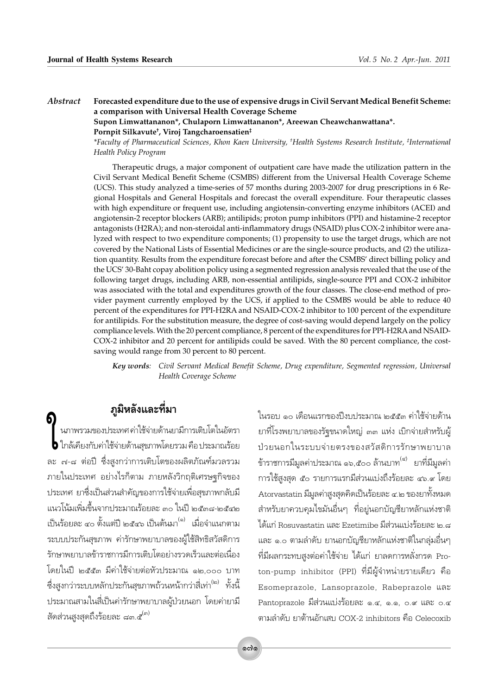#### Abstract Forecasted expenditure due to the use of expensive drugs in Civil Servant Medical Benefit Scheme: a comparison with Universal Health Coverage Scheme

Supon Limwattananon\*, Chulaporn Limwattananon\*, Areewan Cheawchanwattana\*. Pornpit Silkavute<sup>†</sup>, Viroj Tangcharoensatien<sup>‡</sup>

\*Faculty of Pharmaceutical Sciences, Khon Kaen University, <sup>+</sup>Health Systems Research Institute, <sup>‡</sup>International Health Policy Program

Therapeutic drugs, a major component of outpatient care have made the utilization pattern in the Civil Servant Medical Benefit Scheme (CSMBS) different from the Universal Health Coverage Scheme (UCS). This study analyzed a time-series of 57 months during 2003-2007 for drug prescriptions in 6 Regional Hospitals and General Hospitals and forecast the overall expenditure. Four therapeutic classes with high expenditure or frequent use, including angiotensin-converting enzyme inhibitors (ACEI) and angiotensin-2 receptor blockers (ARB); antilipids; proton pump inhibitors (PPI) and histamine-2 receptor antagonists (H2RA); and non-steroidal anti-inflammatory drugs (NSAID) plus COX-2 inhibitor were analyzed with respect to two expenditure components; (1) propensity to use the target drugs, which are not covered by the National Lists of Essential Medicines or are the single-source products, and (2) the utilization quantity. Results from the expenditure forecast before and after the CSMBS' direct billing policy and the UCS' 30-Baht copay abolition policy using a segmented regression analysis revealed that the use of the following target drugs, including ARB, non-essential antilipids, single-source PPI and COX-2 inhibitor was associated with the total and expenditures growth of the four classes. The close-end method of provider payment currently employed by the UCS, if applied to the CSMBS would be able to reduce 40 percent of the expenditures for PPI-H2RA and NSAID-COX-2 inhibitor to 100 percent of the expenditure for antilipids. For the substitution measure, the degree of cost-saving would depend largely on the policy compliance levels. With the 20 percent compliance, 8 percent of the expenditures for PPI-H2RA and NSAID-COX-2 inhibitor and 20 percent for antilipids could be saved. With the 80 percent compliance, the costsaving would range from 30 percent to 80 percent.

Key words: Civil Servant Medical Benefit Scheme, Drug expenditure, Segmented regression, Universal Health Coverage Scheme

# ภูมิหลังและที่มา

ı<br>นภาพรวมของประเทศ ค่าใช้จ่ายด้านยามีการเติบโตในอัตรา • ใกล้เคียงกับค่าใช้จ่ายด้านสุขภาพโดยรวม คือ ประมาณร้อย ิละ ๗-๘ ต่อปี ซึ่งสูงกว่าการเติบโตของผลิตภัณฑ์มวลรวม ภายในประเทศ อย่างไรก็ตาม ภายหลังวิกฤติเศรษฐกิจของ ประเทศ ยาซึ่งเป็นส่วนสำคัญของการใช้จ่ายเพื่อสุขภาพกลับมี แนวโน้มเพิ่มขึ้นจากประมาณร้อยละ ๓๐ ในปี ๒๕๓๘-๒๕๔๒ เป็นร้อยละ ๔๐ ตั้งแต่ปี ๒๕๔๖ เป็นต้นมา<sup>(๑)</sup> เมื่อจำแนกตาม ระบบประกันสุขภาพ ค่ารักษาพยาบาลของผู้ใช้สิทธิสวัสดิการ รักษาพยาบาลข้าราชการมีการเติบโตอย่างรวดเร็วและต่อเนื่อง โดยในปี ๒๕๕๓ มีค่าใช้จ่ายต่อหัวประมาณ ๑๒,๐๐๐ บาท ซึ่งสูงกว่าระบบหลักประกันสุขภาพถ้วนหน้ากว่าสี่เท่า<sup>(๒)</sup> ทั้งนี้ ประมาณสามในสี่เป็นค่ารักษาพยาบาลผู้ป่วยนอก โดยค่ายามี สัดส่วนสูงสุดถึงร้อยละ ๘๓.๕<sup>(๓)</sup>

ในรอบ ๑๐ เดือนแรกของปีงบประมาณ ๒๕๕๓ ค่าใช้จ่ายด้าน ยาที่โรงพยาบาลของรัฐขนาดใหญ่ ๓๓ แห่ง เบิกจ่ายสำหรับผู้ ป่วยนอกในระบบจ่ายตรงของสวัสดิการรักษาพยาบาล ข้าราชการมีมูลค่าประมาณ ๑๖,๕๐๐ ล้านบาท<sup>(๔)</sup> ยาที่มีมูลค่า การใช้สูงสุด ๕๐ รายการแรกมีส่วนแบ่งถึงร้อยละ ๔๖.๙ โดย Atorvastatin มีมูลค่าสูงสุดคิดเป็นร้อยละ ๔.๒ ของยาทั้งหมด สำหรับยาควบคุมไขมันอื่นๆ ที่อยู่นอกบัญชียาหลักแห่งชาติ ได้แก่ Rosuvastatin และ Ezetimibe มีส่วนแบ่งร้อยละ ๒.๘ และ ๑.๐ ตามลำดับ ยานอกบัญชียาหลักแห่งชาติในกลุ่มอื่นๆ ที่มีผลกระทบสูงต่อค่าใช้จ่าย ได้แก่ ยาลดการหลั่งกรด Proton-pump inhibitor (PPI) ที่มีผู้จำหน่ายรายเดียว คือ Esomeprazole, Lansoprazole, Rabeprazole และ Pantoprazole มีส่วนแบ่งร้อยละ ๑.๔, ๑.๑, ๐.๙ และ ๐.๔ ตามลำดับ ยาต้านอักเสบ COX-2 inhibitors คือ Celecoxib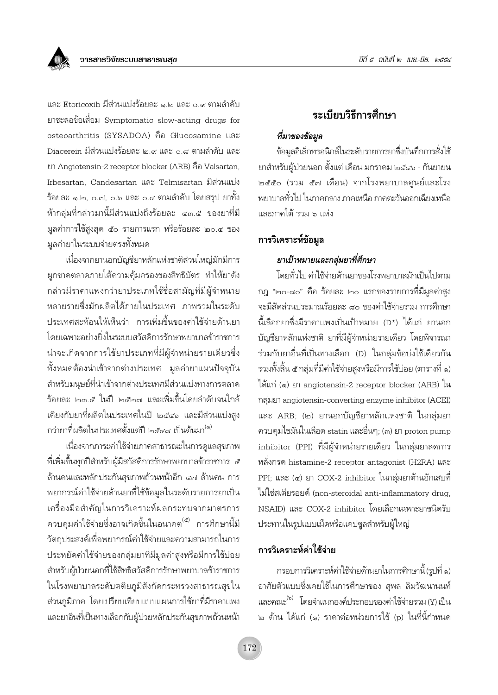

และ Etoricoxib มีส่วนแบ่งร้อยละ ๑.๒ และ ๐.๙ ตามลำดับ ยาชะลอข้อเสื่อม Symptomatic slow-acting drugs for osteoarthritis (SYSADOA) คือ Glucosamine และ Diacerein มีส่วนแบ่งร้อยละ ๒.๙ และ ๐.๘ ตามลำดับ และ ยา Angiotensin-2 receptor blocker (ARB) คือ Valsartan, Irbesartan, Candesartan และ Telmisartan มีส่วนแบ่ง ร้อยละ ๑.๒. ๐.๗. ๐.๖ และ ๐.๔ ตามลำดับ โดยสรป ยาทั้ง ้ห้ากลุ่มที่กล่าวมานี้มีส่วนแบ่งถึงร้อยละ ๔๓.๕ ของยาที่มี มูลค่าการใช้สูงสุด ๕๐ รายการแรก หรือร้อยละ ๒๐.๔ ของ มูลค่ายาในระบบจ่ายตรงทั้งหมด

เนื่องจากยานอกบัญชียาหลักแห่งชาติส่วนใหญ่มักมีการ ผูกขาดตลาดภายใต้ความคุ้มครองของสิทธิบัตร ทำให้ยาดัง กล่าวมีราคาแพงกว่ายาประเภทใช้ชื่อสามัญที่มีผู้จำหน่าย หลายรายซึ่งมักผลิตได้ภายในประเทศ ภาพรวมในระดับ ประเทศสะท้อนให้เห็นว่า การเพิ่มขึ้นของค่าใช้จ่ายด้านยา โดยเฉพาะอย่างยิ่งในระบบสวัสดิการรักษาพยาบาลข้าราชการ น่าจะเกิดจากการใช้ยาประเภทที่มีผู้จำหน่ายรายเดียวซึ่ง ์ทั้งหมดต้องนำเข้าจากต่างประเทศ มูลค่ายาแผนปัจจุบัน สำหรับมนุษย์ที่นำเข้าจากต่างประเทศมีส่วนแบ่งทางการตลาด ร้อยละ ๒๓.๕ ในปี ๒๕๒๗ และเพิ่มขึ้นโดยลำดับจนใกล้ เคียงกับยาที่ผลิตในประเทศในปี ๒๕๔๖ และมีส่วนแบ่งสูง กว่ายาที่ผลิตในประเทศตั้งแต่ปี ๒๕๔๘ เป็นต้นมา<sup>(๑)</sup>

เนื่องจากภาระค่าใช้จ่ายภาคสาธารณะในการดูแลสุขภาพ ู้ที่เพิ่มขึ้นทุกปีสำหรับผู้มีสวัสดิการรักษาพยาบาลข้าราชการ ๕ ล้านคนและหลักประกันสุขภาพถ้วนหน้าอีก ๔๗ ล้านคน การ ้ พยากรณ์ค่าใช้จ่ายด้านยาที่ใช้ข้อมูลในระดับรายการยาเป็น เครื่องมือสำคัญในการวิเคราะห์ผลกระทบจากมาตรการ ิ ควบคุมค่าใช้จ่ายซึ่งอาจเกิดขึ้นในอนาคต<sup>(๕)</sup> การศึกษานี้มี วัตถุประสงค์เพื่อพยากรณ์ค่าใช้จ่ายและความสามารถในการ ประหยัดค่าใช้จ่ายของกลุ่มยาที่มีมูลค่าสูงหรือมีการใช้บ่อย สำหรับผู้ป่วยนอกที่ใช้สิทธิสวัสดิการรักษาพยาบาลข้าราชการ ในโรงพยาบาลระดับตติยภูมิสังกัดกระทรวงสาธารณสุขใน ส่วนภูมิภาค โดยเปรียบเทียบแบบแผนการใช้ยาที่มีราคาแพง และยาอื่นที่เป็นทางเลือกกับผู้ป่วยหลักประกันสุขภาพถ้วนหน้า

# ระเบียบวิธีการศึกษา

#### ที่มาของข้อมูล

ข้อมูลอิเล็กทรอนิกส์ในระดับรายการยาซึ่งบันทึกการสั่งใช้ ยาสำหรับผู้ป่วยนอก ตั้งแต่ เดือน มกราคม ๒๕๔๖ - กันยายน ๒๕๕๐ (รวม ๕๗ เดือน) จากโรงพยาบาลศูนย์และโรง พยาบาลทั่วไป ในภาคกลาง ภาคเหนือ ภาคตะวันออกเฉียงเหนือ และภาคใต้ รวม ๖ แห่ง

#### การวิเคราะห์ข้อมูล

#### ยาเป้าหมายและกลุ่มยาที่ศึกษา

โดยทั่วไป ค่าใช้จ่ายด้านยาของโรงพยาบาลมักเป็นไปตาม กภู "๒๐-๘๐" คือ ร้อยละ ๒๐ แรกของรายการที่มีมลค่าสง จะมีสัดส่วนประมาณร้อยละ ๘๐ ของค่าใช้จ่ายรวม การศึกษา นี้เลือกยาซึ่งมีราคาแพงเป็นเป้าหมาย (D\*) ได้แก่ ยานอก บัญชียาหลักแห่งชาติ ยาที่มีผู้จำหน่ายรายเดียว โดยพิจารณา ร่วมกับยาอื่นที่เป็นทางเลือก (D) ในกลุ่มข้อบ่งใช้เดียวกัน รวมทั้งสิ้น ๕ กลุ่มที่มีค่าใช้จ่ายสูงหรือมีการใช้บ่อย (ตารางที่ ๑) ได้แก่ (๑) ยา angiotensin-2 receptor blocker (ARB) ใน กลุ่มยา angiotensin-converting enzyme inhibitor (ACEI) และ ARB; (๒) ยานอกบัญชียาหลักแห่งชาติ ในกลุ่มยา ควบคุมไขมันในเลือด statin และอื่นๆ; (๓) ยา proton pump inhibitor (PPI) ที่มีผู้จำหน่ายรายเดียว ในกลุ่มยาลดการ หลั่งกรด histamine-2 receptor antagonist (H2RA) และ PPI; และ (๔) ยา COX-2 inhibitor ในกลุ่มยาต้านอักเสบที่ ไม่ใช่สเตียรอยด์ (non-steroidal anti-inflammatory drug, NSAID) และ COX-2 inhibitor โดยเลือกเฉพาะยาชนิดรับ ประทานในรูปแบบเม็ดหรือแคปซูลสำหรับผู้ใหญ่

#### การวิเคราะห์ค่าใช้จ่าย

กรอบการวิเคราะห์ค่าใช้จ่ายด้านยาในการศึกษานี้ (รูปที่ ๑) อาศัยตัวแบบซึ่งเคยใช้ในการศึกษาของ สุพล ลิมวัฒนานนท์ และคณะ<sup>(๖)</sup> โดยจำแนกองค์ประกอบของค่าใช้จ่ายรวม (Y) เป็น ๒ ด้าน ได้แก่ (๑) ราคาต่อหน่วยการใช้ (p) ในที่นี้กำหนด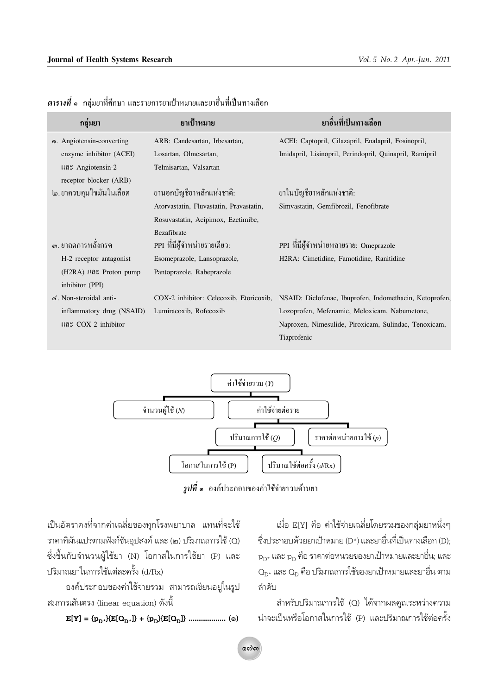| ึกลุ่มยา                                        | ยาเป้าหมาย                              | ยาลื้นที่เป็นทางเลือก                                                                          |
|-------------------------------------------------|-----------------------------------------|------------------------------------------------------------------------------------------------|
| o. Angiotensin-converting                       | ARB: Candesartan, Irbesartan,           | ACEI: Captopril, Cilazapril, Enalapril, Fosinopril,                                            |
| enzyme inhibitor (ACEI)                         | Losartan, Olmesartan,                   | Imidapril, Lisinopril, Perindopril, Quinapril, Ramipril                                        |
| และ Angiotensin-2                               | Telmisartan, Valsartan                  |                                                                                                |
| receptor blocker (ARB)                          |                                         |                                                                                                |
| ๒. ยาควบคุมไขมันในเลือด                         | ยานอกบัญชียาหลักแห่งชาติ:               | ยาในบัญชียาหลักแห่งชาติ:                                                                       |
|                                                 | Atorvastatin, Fluvastatin, Pravastatin, | Simvastatin, Gemfibrozil, Fenofibrate                                                          |
|                                                 | Rosuvastatin, Acipimox, Ezetimibe,      |                                                                                                |
|                                                 | Bezafibrate                             |                                                                                                |
| ๑. ยาลดการหลั่งกรด                              | PPI ที่มีผู้จำหน่ายรายเดียว:            | PPI ที่มีผู้จำหน่ายหลายราย: Omeprazole                                                         |
| H-2 receptor antagonist                         | Esomeprazole, Lansoprazole,             | H2RA: Cimetidine, Famotidine, Ranitidine                                                       |
| $(H2RA)$ $\text{I} \Omega \text{S}$ Proton pump | Pantoprazole, Rabeprazole               |                                                                                                |
| inhibitor (PPI)                                 |                                         |                                                                                                |
| $\leq$ . Non-steroidal anti-                    |                                         | COX-2 inhibitor: Celecoxib, Etoricoxib, NSAID: Diclofenac, Ibuprofen, Indomethacin, Ketoprofen |
| inflammatory drug (NSAID)                       | Lumiracoxib, Rofecoxib                  | Lozoprofen, Mefenamic, Meloxicam, Nabumetone,                                                  |
| และ COX-2 inhibitor                             |                                         | Naproxen, Nimesulide, Piroxicam, Sulindac, Tenoxicam,                                          |
|                                                 |                                         | Tiaprofenic                                                                                    |
|                                                 |                                         |                                                                                                |

 $\,$ ตารางที่ ๑  $\,$ กลุ่มยาที่ศึกษา และรายการยาเป้าหมายและยาอื่นที่เป็นทางเลือก



*รูปที่ ๑* องค์ประกอบของค่าใช้จ่ายรวมด้านยา

เป็นอัตราคงที่จากค่าเฉลี่ยของทุกโรงพยาบาล แทนที่จะใช้ ราคาที่ผันแปรตามฟังก์ชั่นอุปสงค์ และ (๒) ปริมาณการใช้ (Q) ซึ่งขึ้นกับจำนวนผู้ใช้ยา (N) โอกาสในการใช้ยา (P) และ ปริมาณยาในการใช้แต่ละครั้ง (d/Rx)

้องค์ประกอบของค่าใช้จ่ายรวม สามารถเขียนอยู่ในรูป สมการเส้นตรง (linear equation) ดังนี้

 $\mathbf{E}[\mathbf{Y}] = \{\mathbf{p}_{\rm{D}^*}\}\{\mathbf{E}[\mathbf{O}_{\rm{D}^*}]\} + \{\mathbf{p}_{\rm{D}}\}\{\mathbf{E}[\mathbf{O}_{\rm{D}}]\} \ \ldots \ldots \ldots \ldots \ldots \quad \textbf{(a)}$ 

เมื่อ E[Y] คือ ค่าใช้จ่ายเฉลี่ยโดยรวมของกล่มยาหนึ่งๆ ซึ่งประกอบด้วยยาเป้าหมาย (D\*) และยาอื่นที่เป็นทางเลือก (D);  $\rm p_{D^{\star}}$  และ  $\rm p_{D}$  คือ ราคาต่อหน่วยของยาเป้าหมายและยาอื่น; และ  $\mathrm{O}_{\mathrm{D}^{\star}}$  และ  $\mathrm{O}_\mathrm{D}$  คือ ปริมาณการใช้ของยาเป้าหมายและยาอื่น ตาม ลำดับ

สำหรับปริมาณการใช้ (Q) ได้จากผลคูณระหว่างความ น่าจะเป็นหรือโอกาสในการใช้ (P) และปริมาณการใช้ต่อครั้ง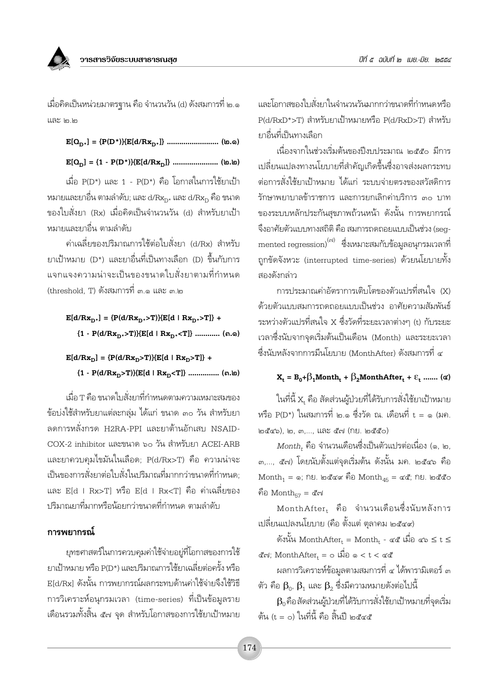เมื่อคิดเป็นหน่วยมาตรฐาน คือ จำนวนวัน (d) ดังสมการที่ ๒.๑ และ ๒.๒

เมื่อ P(D\*) และ 1 - P(D\*) คือ โอกาสในการใช้ยาเป้า หมายและยาอื่น ตามลำดับ: และ d/Rxp, และ d/Rxp คือ ขนาด ์ ของใบสั่งยา (Rx) เมื่อคิดเป็นจำนวนวัน (d) สำหรับยาเป้า หมายและยาอื่น ตามลำดับ

้ค่าเฉลี่ยของปริมาณการใช้ต่อใบสั่งยา (d/Rx) สำหรับ ยาเป้าหมาย (D\*) และยาอื่นที่เป็นทางเลือก (D) ขึ้นกับการ แจกแจงความน่าจะเป็นของขนาดใบสั่งยาตามที่กำหนด (threshold. T) ดังสมการที่ ๓.๑ และ ๓.๒

 $E[d/Rx_{D^*}] = {P(d/Rx_{D^*} > T)}{E[d+Rx_{D^*} > T]} +$ 

 ${1 - P(d/Rx_{D*} > T)}E[d | Rx_{D*} < T]}$  ............ (n.o)

 $E[d/Rx_{D}] = {P(d/Rx_{D}>T)}{E[d+Rx_{D}>T]} +$ 

 ${1 - P(d/Rx_D > T)}E[d + Rx_D < T]}$  ............... (ต.๒)

เมื่อ T คือ ขนาดใบสั่งยาที่กำหนดตามความเหมาะสมของ ข้อบ่งใช้สำหรับยาแต่ละกลุ่ม ได้แก่ ขนาด ๓๐ วัน สำหรับยา ลดการหลั่งกรด H2RA-PPI และยาต้านอักเสบ NSAID-COX-2 inhibitor และขนาด ๖๐ วัน สำหรับยา ACEI-ARB และยาควบคุมไขมันในเลือด; P(d/Rx>T) คือ ความน่าจะ เป็นของการสั่งยาต่อใบสั่งในปริมาณที่มากกว่าขนาดที่กำหนด: และ E[d | Rx>T] หรือ E[d | Rx<T] คือ ค่าเฉลี่ยของ ปริมาณยาที่มากหรือน้อยกว่าขนาดที่กำหนด ตามลำดับ

#### การพยากรณ์

ยุทธศาสตร์ในการควบคุมค่าใช้จ่ายอยู่ที่โอกาสของการใช้ ยาเป้าหมาย หรือ P(D\*) และปริมาณการใช้ยาเฉลี่ยต่อครั้ง หรือ E[d/Rx] ดังนั้น การพยากรณ์ผลกระทบด้านค่าใช้จ่ายจึงใช้วิธี การวิเคราะห์อนุกรมเวลา (time-series) ที่เป็นข้อมูลราย เดือนรวมทั้งสิ้น ๕๗ จุด สำหรับโอกาสของการใช้ยาเป้าหมาย และโอกาสของใบสั่งยาในจำนวนวันมากกว่าขนาดที่กำหนดหรือ P(d/RxD\*>T) สำหรับยาเป้าหมายหรือ P(d/RxD>T) สำหรับ ยาอื่นที่เป็นทางเลือก

เนื่องจากในช่วงเริ่มต้นของปีงบประมาณ ๒๕๕๐ มีการ เปลี่ยนแปลงทางนโยบายที่สำคัญเกิดขึ้นซึ่งอาจส่งผลกระทบ ต่อการสั่งใช้ยาเป้าหมาย ได้แก่ ระบบจ่ายตรงของสวัสดิการ รักษาพยาบาลข้าราชการ และการยกเลิกค่าบริการ ๓๐ บาท ของระบบหลักประกันสุขภาพถ้วนหน้า ดังนั้น การพยากรณ์ จึงอาศัยตัวแบบทางสถิติ คือ สมการถดถอยแบบเป็นช่วง (sea- $\,$ mented regression) $^{(\rm r i)}$  ซึ่งเหมาะสมกับข้อมูลอนุกรมเวลาที่ ถูกขัดจังหวะ (interrupted time-series) ด้วยนโยบายทั้ง สองดังกล่าว

การประมาณค่าอัตราการเติบโตของตัวแปรที่สนใจ (X) ด้วยตัวแบบสมการถดถอยแบบเป็นช่วง อาศัยความสัมพันธ์ ระหว่างตัวแปรที่สนใจ X ซึ่งวัดที่ระยะเวลาต่างๆ (t) กับระยะ เวลาซึ่งนับจากจดเริ่มต้นเป็นเดือน (Month) และระยะเวลา ซึ่งนับหลังจากการมีนโยบาย (MonthAfter) ดังสมการที่ ๔

#### $X_t = B_0 + \beta_1 \text{Month}_t + \beta_2 \text{MonthAfter}_t + \varepsilon_t$  ....... ( $\alpha$ )

ในที่นี้ X, คือ สัดส่วนผ้ป่วยที่ได้รับการสั่งใช้ยาเป้าหมาย หรือ P(D\*) ในสมการที่ ๒.๑ ซึ่งวัด ณ. เดือนที่ t = ๑ (มค. ๒๕๔๖), ๒, ๓,..., และ ๕๗ (กย. ๒๕๕๐)

 $\emph{Month}_t$  คือ จำนวนเดือนซึ่งเป็นตัวแปรต่อเนื่อง (๑, ๒, ๓,..., ๕๗) โดยนับตั้งแต่จุดเริ่มต้น ดังนั้น มค. ๒๕๔๖ คือ  $\text{Month}_1 = \circ$ ; กย. ๒๕๔๙ คือ  $\text{Month}_{45} = \text{CE}$ ; กย. ๒๕๕๐ คือ Month $_{57}$  = ๕๗

 $\text{MonthAfter}_{\text{t}}$  คือ จำนวนเดือนซึ่งนับหลังการ เปลี่ยนแปลงนโยบาย (คือ ตั้งแต่ ตลาคม ๒๕๔๙)

ดังนั้น MonthAfter, = Month, - ๔๕ เมื่อ ๔๖  $\leq$  t  $\leq$ ี่<br>สีฟ; MonthAfter = ๐ เมื่อ ๑ < t < ๔๕

ผลการวิเคราะห์ข้อมลตามสมการที่ ๔ ได้พารามิเตอร์ ๓ ตัว คือ  $\beta_{\scriptscriptstyle \Omega}$ ,  $\beta_{\scriptscriptstyle 1}$  และ  $\beta_{\scriptscriptstyle 2}$  ซึ่งมีความหมายดังต่อไปนี้

 $\beta_0$ คือ สัดส่วนผู้ป่วยที่ได้รับการสั่งใช้ยาเป้าหมายที่จุดเริ่ม ต้น (t = o) ในที่นี้ คือ สิ้นปี ๒๕๔๕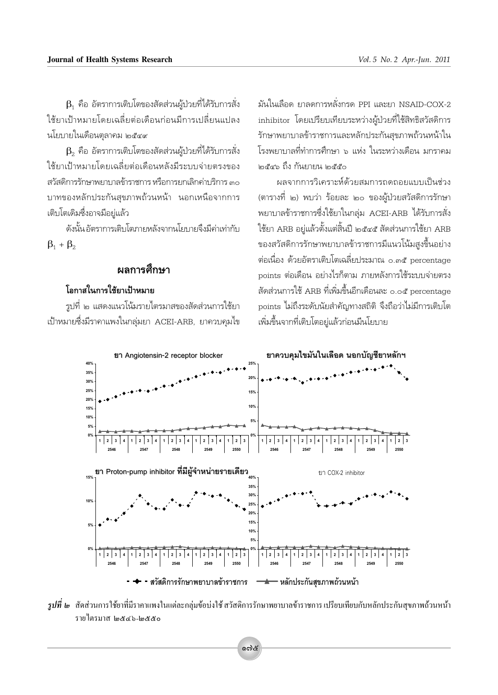$\beta_1$  คือ อัตราการเติบโตของสัดส่วนผู้ป่วยที่ได้รับการสั่ง ใช้ยาเป้าหมายโดยเฉลี่ยต่อเดือนก่อนมีการเปลี่ยนแปลง นโยบายในเดือนตลาคม ๒๕๔๙

 $\,\mathsf B_2\,$  คือ อัตราการเติบโตของสัดส่วนผู้ป่วยที่ได้รับการสั่ง ใช้ยาเป้าหมายโดยเฉลี่ยต่อเดือนหลังมีระบบจ่ายตรงของ สวัสดิการรักษาพยาบาลข้าราชการ หรือการยกเลิกค่าบริการ ๓๐ ิบาทของหลักประกันสขภาพถ้วนหน้า นอกเหนือจากการ เติบโตเดิมซึ่งอาจมีอยู่แล้ว

ดังนั้นอัตราการเติบโตภายหลังจากนโยบายจึงมีค่าเท่ากับ  $\beta_1 + \beta_2$ 

#### ผลการศึกษา

#### โอกาสในการใช้ยาเป้าหมาย

รูปที่ ๒ แสดงแนวโน้มรายไตรมาสของสัดส่วนการใช้ยา เป้าหมายซึ่งมีราคาแพงในกลุ่มยา ACEI-ARB, ยาควบคุมไข

มันในเลือด ยาลดการหลั่งกรด PPI และยา NSAID-COX-2 inhibitor โดยเปรียบเทียบระหว่างผู้ป่วยที่ใช้สิทธิสวัสดิการ รักษาพยาบาลข้าราชการและหลักประกันสขภาพถ้วนหน้าใน โรงพยาบาลที่ทำการศึกษา ๖ แห่ง ในระหว่างเดือน มกราคม ๒๕๔๖ ถึง กันยายน ๒๕๕๐

ผลจากการวิเคราะห์ด้วยสมการถดถอยแบบเป็นช่วง (ตารางที่ ๒) พบว่า ร้อยละ ๒๐ ของผ้ป่วยสวัสดิการรักษา พยาบาลข้าราชการซึ่งใช้ยาในกลุ่ม ACEI-ARB ได้รับการสั่ง ใช้ยา ARB อย่แล้วตั้งแต่สิ้นปี ๒๕๔๕ สัดส่วนการใช้ยา ARB ของสวัสดิการรักษาพยาบาลข้าราชการมีแนวโน้มสูงขึ้นอย่าง ต่อเนื่อง ด้วยอัตราเติบโตเฉลี่ยประมาณ ๐.๓๕ percentage points ต่อเดือน อย่างไรก็ตาม ภายหลังการใช้ระบบจ่ายตรง สัดส่วนการใช้ ARB ที่เพิ่มขึ้นอีกเดือนละ ๐.๐๕ percentage points ไม่ถึงระดับนัยสำคัญทางสถิติ จึงถือว่าไม่มีการเติบโต เพิ่มขึ้นจากที่เติบโตอยู่แล้วก่อนมีนโยบาย



*รูปที่ ๒* สัดส่วนการใช้ยาที่มีราคาแพงในแต่ละกลุ่มข้อบ่งใช้ สวัสดิการรักษาพยาบาลข้าราชการ เปรียบเทียบกับหลักประกันสุขภาพถ้วนหน้า รายใตรมาส ได&๔๖-ได&๕๐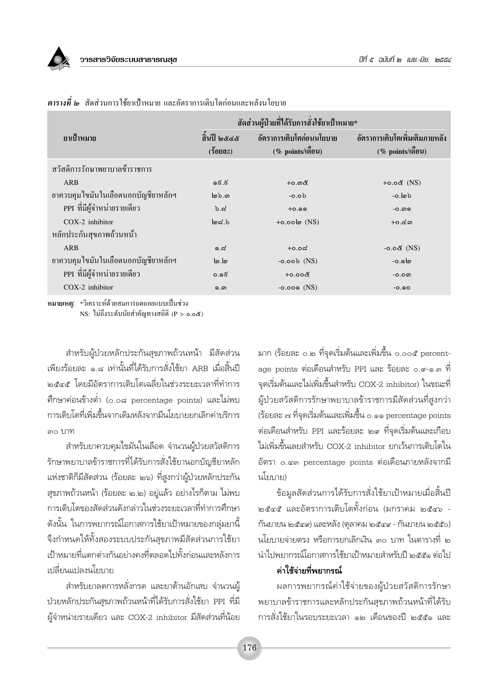

|                                     |                       | ้สัดส่วนผู้ป่วยที่ได้รับการสั่งใช้ยาเป้าหมาย*   |                                                        |  |  |  |
|-------------------------------------|-----------------------|-------------------------------------------------|--------------------------------------------------------|--|--|--|
| ยาเป้าหมาย                          | สิ้นปี ๒๕๔๕<br>(5000) | อัตราการเติบโตก่อนนโยบาย<br>$(\%$ points/เดือน) | ้อัตราการเติบโตเพิ่มเติมภายหลัง<br>$(\%$ points/เดือน) |  |  |  |
| สวัสดิการรักษาพยาบาลข้าราชการ       |                       |                                                 |                                                        |  |  |  |
| ARB                                 | ೂಕೆ.ಕ                 | +0.ග໕                                           | $+o.o&$ (NS)                                           |  |  |  |
| ยาควบคุมใขมันในเลือดนอกบัญชียาหลักฯ | ിം. $\omega$          | $-0.0b$                                         | -ი. $\omega$                                           |  |  |  |
| PPI ที่มีผู้จำหน่ายรายเดียว         | b.d                   | $+0.99$                                         | $-0.$ ன                                                |  |  |  |
| $COX-2$ inhibitor                   | $d$ .ಶ                | $+o.o$ ol $\infty$ (NS)                         | $+o.\leq$ ന                                            |  |  |  |
| หลักประกันสุขภาพถ้วนหน้า            |                       |                                                 |                                                        |  |  |  |
| <b>ARB</b>                          | 0.5                   | +೦.೦ದ                                           | - $o.o$ డి (NS)                                        |  |  |  |
| ยาควบคุมใขมันในเลือดนอกบัญชียาหลักฯ | ها.ها                 | $-0.00b$ (NS)                                   | -၀.၈๒                                                  |  |  |  |
| PPI ที่มีผู้จำหน่ายรายเดียว         | 0.96                  | $+0.008$                                        | $-0.0W$                                                |  |  |  |
| COX-2 inhibitor                     | ெ.ை                   | $-0.009$ (NS)                                   | $-0.00$                                                |  |  |  |
|                                     |                       |                                                 |                                                        |  |  |  |

ี <mark>ตารางที่ ๒</mark> สัดส่วนการใช้ยาเป้าหมาย และกัตราการเติบโตก่กนและหลังนโยบาย

หมายเหตุ: \*วิเคราะห์ด้วยสมการถดถอยแบบเป็นช่วง NS: ใม่ถึงระดับนัยสำคัญทางสถิติ (P > 0.0&)

สำหรับผู้ป่วยหลักประกันสุขภาพถ้วนหน้า มีสัดส่วน เพียงร้อยละ ๑.๘ เท่านั้นที่ได้รับการสั่งใช้ยา ARB เมื่อสิ้นปี ๒๕๔๕ โดยมีอัตราการเติบโตเฉลี่ยในช่วงระยะเวลาที่ทำการ คึกษาค่อนข้างต่ำ (๐.๐๘ percentage points) และไม่พบ การเติบโตที่เพิ่มขึ้นจากเดิมหลังจากมีนโยบายยกเลิกค่าบริการ ๓๐ บาท

สำหรับยาควบคุมไขมันในเลือด จำนวนผู้ป่วยสวัสดิการ รักษาพยาบาลข้าราชการที่ได้รับการสั่งใช้ยานอกบัญชียาหลัก แห่งชาติก็มีสัดส่วน (ร้อยละ ๒๖) ที่สูงกว่าผู้ป่วยหลักประกัน สุขภาพถ้วนหน้า (ร้อยละ ๒.๒) อยู่แล้ว อย่างไรก็ตาม ไม่พบ การเติบโตของสัดส่วนดังกล่าวในช่วงระยะเวลาที่ทำการศึกษา ้ดังนั้น ในการพยากรณ์โอกาสการใช้ยาเป้าหมายของกลุ่มยานี้ จึงกำหนดให้ทั้งสองระบบประกันสุขภาพมีสัดส่วนการใช้ยา เป้าหมายที่แตกต่างกันอย่างคงที่ตลอดไปทั้งก่อนและหลังการ เปลี่ยนแปลงนโยบาย

สำหรับยาลดการหลั่งกรด และยาต้านอักเสบ จำนวนผู้ ป่วยหลักประกันสุขภาพถ้วนหน้าที่ได้รับการสั่งใช้ยา PPI ที่มี ผู้จำหน่ายรายเดี่ยว และ COX-2 inhibitor มีสัดส่วนที่น้อย มาก (ร้อยละ ๐.๒ ที่จุดเริ่มต้นและเพิ่มขึ้น ๐.๐๐๕ percentage points ต่อเดือนสำหรับ PPI และ ร้อยละ ๐.๙-๑.๓ ที่ จุดเริ่มต้นและไม่เพิ่มขึ้นสำหรับ COX-2 inhibitor) ในขณะที่ ผู้ป่วยสวัสดิการรักษาพยาบาลข้าราชการมีสัดส่วนที่สูงกว่า (ร้อยละ ๗ ที่จุดเริ่มต้นและเพิ่มขึ้น ๐.๑๑ percentage points ต่อเดือนสำหรับ PPI และร้อยละ ๒๙ ที่จุดเริ่มต้นและเกือบ ไม่เพิ่มตื้นเลยสำหรับ COX-2 inhibitor ยกเว้นการเติบโตใน อัตรา ๐.๔๓ percentage points ต่อเดือนภายหลังจากมี นโยบาย)

ข้อมลสัดส่วนการได้รับการสั่งใช้ยาเป้าหมายเมื่อสิ้นปี ๒๕๔๕ และอัตราการเติบโตทั้งก่อน (มกราคม ๒๕๔๖ -กันยายน ๒๕๔๙) และหลัง (ตุลาคม ๒๕๔๙ - กันยายน ๒๕๕๐) นโยบายจ่ายตรง หรือการยกเลิกเงิน ๓๐ บาท ในตารางที่ ๒ นำไปพยากรณ์โอกาสการใช้ยาเป้าหมายสำหรับปี ๒๕๕๑ ต่อไป

#### ค่าใช้จ่ายที่พยากรณ์

ผลการพยากรณ์ค่าใช้จ่ายของผู้ป่วยสวัสดิการรักษา พยาบาลข้าราชการและหลักประกันสุขภาพถ้วนหน้าที่ได้รับ การสั่งใช้ยาในรอบระยะเวลา ๑๒ เดือนของปี ๒๕๕๑ และ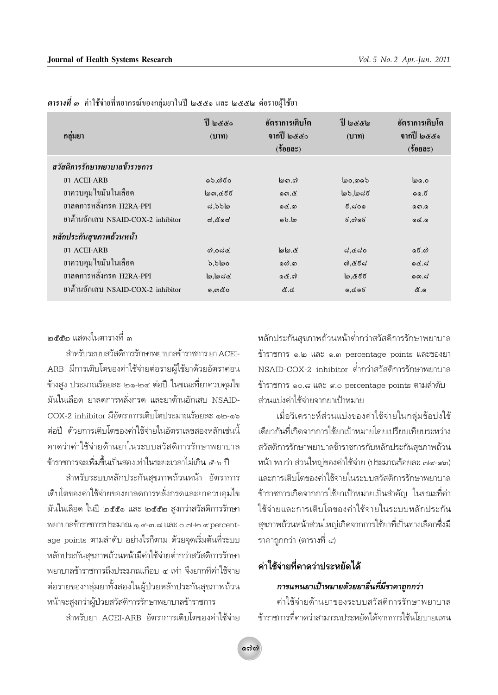| กลุ่มยา                            | aboulf<br>(11)               | อัตราการเติบโต<br>จากปี ๒๕๕๐<br>(5000) | عالاته الله<br>(11) | อัตราการเติบโต<br>จากปี ๒๕๕๑<br>$(z$ ergs) |  |  |  |
|------------------------------------|------------------------------|----------------------------------------|---------------------|--------------------------------------------|--|--|--|
| สวัสดิการรักษาพยาบาลข้าราชการ      |                              |                                        |                     |                                            |  |  |  |
| ยา ACEI-ARB                        | െ.റി60                       | $\ln$ ന സി                             | ๒o,തെ $b$           | l၈ ၀.၀                                     |  |  |  |
| ยาควบคุมใขมันในเลือด               | ๒ഩ,๔ $\epsilon$ ៩ $\epsilon$ | ගො.๕                                   | lೂ),lೂದ $\epsilon$  | ൈ 6                                        |  |  |  |
| ยาลดการหลั่งกรด H2RA-PPI           | $d, b$ อโต                   | යේ.ග                                   | ೯,ನಂೂ               | னை.                                        |  |  |  |
| ยาต้านอักเสบ NSAID-COX-2 inhibitor | ದ.៥೧ದ                        | ெம்.                                   | $5.$ ෆ් රේ          | 0.96                                       |  |  |  |
| หลักประกันสุขภาพถ้วนหน้า           |                              |                                        |                     |                                            |  |  |  |
| ยา ACEI-ARB                        | ೧).೦ದ $\alpha$               | lolo &                                 | ದ.៤ದಂ               | සේ.ශ්                                      |  |  |  |
| ยาควบคุมใขมันในเลือด               | $b.b$ loo                    | லை.                                    | ೧).៥೯ನ              | 66.5                                       |  |  |  |
| ยาลดการหลั่งกรด H2RA-PPI           | $\omega, \omega \ll \omega$  | යේ. බ                                  | 'అ,๕៩៩              | തെ.പ്                                      |  |  |  |
| ยาต้านอักเสบ NSAID-COX-2 inhibitor | ,ෙගා අර                      | ಜೆ.ಡ                                   | ෧,๔๑ $\epsilon$     | යි.ඉ                                       |  |  |  |

*ตารางที่ ๑* ค่าใช้จ่ายที่พยากรณ์ของกลุ่มยาในปี ๒๕๕๑ และ ๒๕๕๒ ต่อรายผู้ใช้ยา

าคสสาค แสดงในตารางที่ m

สำหรับระบบสวัสดิการรักษาพยาบลข้าราชการ ยา ACEI-ARB มีการเติบโตของค่าใช้จ่ายต่อรายผู้ใช้ยาด้วยอัตราค่อน ข้างสูง ประมาณร้อยละ ๒๑-๒๔ ต่อปี ในขณะที่ยาควบคุมไข มันในเลือด ยาลดการหลั่งกรด และยาต้านอักเสบ NSAID-COX-2 inhibitor มีอัตราการเติบโตประมาณร้อยละ ๑๒-๑๖ ต่อปี ด้วยการเติบโตของค่าใช้จ่ายในอัตราเลขสองหลักเช่นนี้ คาดว่าค่าใช้จ่ายด้านยาในระบบสวัสดิการรักษาพยาบาล ้ข้าราชการจะเพิ่มขึ้นเป็นสองเท่าในระยะเวลาไม่เกิน ๕-๖ ปี

สำหรับระบบหลักประกันสุขภาพถ้วนหน้า อัตราการ เติบโตของค่าใช้จ่ายของยาลดการหลั่งกรดและยาควบคุมไข มันในเลือด ในปี ๒๕๕๑ และ ๒๕๕๒ สูงกว่าสวัสดิการรักษา พยาบาลข้าราชการประมาณ ๑.๔-๓.๘ และ ๐.๗-๒.๙ percentage points ตามลำดับ อย่างไรก็ตาม ด้วยจุดเริ่มต้นที่ระบบ หลักประกันสุขภาพถ้วนหน้ามีค่าใช้จ่ายต่ำกว่าสวัสดิการรักษา ้พยาบาลข้าราชการถึงประมาณเกือบ ๔ เท่า จึงยากที่ค่าใช้จ่าย ต่อรายของกลุ่มยาทั้งสองในผู้ป่วยหลักประกันสุขภาพถ้วน หน้าจะสูงกว่าผู้ป่วยสวัสดิการรักษาพยาบาลข้าราชการ

สำหรับยา ACEI-ARB อัตราการเติบโตของค่าใช้จ่าย

หลักประกันสุขภาพถ้วนหน้าต่ำกว่าสวัสดิการรักษาพยาบาล ข้าราชการ ๑.๒ และ ๑.๓ percentage points และของยา NSAID-COX-2 inhibitor ต่ำกว่าสวัสดิการรักษาพยาบาล ข้าราชการ ๑๐.๘ และ ๙.๐ percentage points ตามลำดับ ส่วนแบ่งค่าใช้จ่ายจากยาเป้าหมาย

เมื่อวิเคราะห์ส่วนแบ่งของค่าใช้จ่ายในกลุ่มข้อบ่งใช้ เดียวกันที่เกิดจากการใช้ยาเป้าหมายโดยเปรียบเทียบระหว่าง สวัสดิการรักษาพยาบาลข้าราชการกับหลักประกันสุขภาพถ้วน หน้า พบว่า ส่วนใหญ่ของค่าใช้จ่าย (ประมาณร้อยละ ๗๙-๙๓) และการเติบโตของค่าใช้จ่ายในระบบสวัสดิการรักษาพยาบาล ข้าราชการเกิดจากการใช้ยาเป้าหมายเป็นสำคัญ ในขณะที่ค่า ใช้จ่ายและการเติบโตของค่าใช้จ่ายในระบบหลักประกัน สุขภาพถ้วนหน้าส่วนใหญ่เกิดจากการใช้ยาที่เป็นทางเลือกซึ่งมี ราคาถกกว่า (ตารางที่ ๔)

# ค่าใช้จ่ายที่คาดว่าประหยัดได้

### การแทนยาเป้าหมายด้วยยาอื่นที่มีราคาถูกกว่า

ค่าใช้จ่ายด้านยาของระบบสวัสดิการรักษาพยาบาล ข้าราชการที่คาดว่าสามารถประหยัดได้จากการใช้นโยบายแทน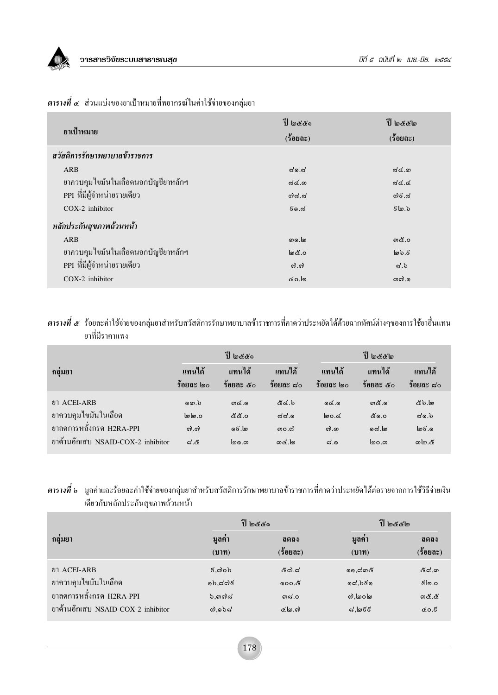

| ยาเป้าหมาย                          | ปี ๒๕๕๑<br>$(5$ 0 20 $0$ $0$ | ปี ๒๕๕๒<br>$(5$ 0 20 $0$ $0$ |  |  |  |  |
|-------------------------------------|------------------------------|------------------------------|--|--|--|--|
| สวัสดิการรักษาพยาบาลข้าราชการ       |                              |                              |  |  |  |  |
| ARB                                 | ನ್.ನ                         | ಧ@.ග                         |  |  |  |  |
| ยาควบคุมใขมันในเลือดนอกบัญชียาหลักฯ | $d$ ໔.ຓ                      | ವಡ.ಡ                         |  |  |  |  |
| PPI ที่มีผู้จำหน่ายรายเดียว         | ದಿನ.ನ                        | ದಿಕೆ.ನ                       |  |  |  |  |
| $COX-2$ inhibitor                   | ಕ್.ಡ                         | $5\omega$                    |  |  |  |  |
| หลักประกันสุขภาพถ้วนหน้า            |                              |                              |  |  |  |  |
| ARB                                 | தை.]                         | ග&.0                         |  |  |  |  |
| ยาควบคุมใขมันในเลือดนอกบัญชียาหลักฯ | 0.گھا                        | სა.შ                         |  |  |  |  |
| PPI ที่มีผู้จำหน่ายรายเดียว         | $\omega$ .ကဲ                 | ದೆ. $\mathbf{b}$             |  |  |  |  |
| $COX-2$ inhibitor                   | ها.٥۵                        | னலி.                         |  |  |  |  |

#### $\,$ ตารางที่ ๔ ส่วนแบ่งของยาเป้าหมายที่พยากรณ์ในค่าใช้จ่ายของกลุ่มยา

#### **ตารางที่ ๕** ร้อยละค่าใช้จ่ายของกลุ่มยาสำหรับสวัสดิการรักษาพยาบาลข้าราชการที่คาดว่าประหยัดได้ด้วยฉากทัศน์ต่างๆของการใช้ยาอื่นแทน ยาที่มีราคาแพง

|                                    |                     | ปี ๒๕๕๑             |                       |                     | ปี ๒๕๕๒                                 |                     |  |
|------------------------------------|---------------------|---------------------|-----------------------|---------------------|-----------------------------------------|---------------------|--|
| กล่มยา                             | แทนได้<br>ร้อยละ ๒๐ | แทนได้<br>ร้อยละ ๕๐ | แทนได้<br>$30003$ ส่ว | แทนได้<br>ร้อยละ ๒๐ | แทนได้<br>$\frac{2}{3}$ อยละ $\alpha$ o | แทนได้<br>ร้อยถะ ส่ |  |
| ยา ACEI-ARB                        | ை 6                 | ගඦ.ෙ                | ಕೆ.ಶಿ                 | Q <sub>0</sub>      | ග&. ෙ                                   | යි. ම               |  |
| ยาควบคุมใขมันในเลือด               | 0.@ما               | 6.නී නී             | ದದೆ.                  | loo.co              | ៥෧.୦                                    | $d \odot d$         |  |
| ยาลดการหลั่งกรด H2RA-PPI           | $\omega$ . $\omega$ | ெ.ெ                 | ၈၀.၈                  | ຕ). ດາ              | යේ.                                     | @.විලු              |  |
| ยาต้านอักเสบ NSAID-COX-2 inhibitor | ನ.ಜಿ                | စြစ.က               | ගඦ.lා                 | $\approx$ .         | စြဝ.၈                                   | ග\ග.๕               |  |

#### ี **ตารางที่** ๖ มูลค่าและร้อยละค่าใช้จ่ายของกลุ่มยาสำหรับสวัสดิการรักษาพยาบาลข้าราชการที่คาดว่าประหยัดได้ต่อรายจากการใช้วิธีจ่ายเงิน เดียวกับหลักประกันสุขภาพถ้วนหน้า

|                                    |                        | ปี ๒๕๕๑                | ปี ๒๕๕๒               |                   |  |
|------------------------------------|------------------------|------------------------|-----------------------|-------------------|--|
| กล่มยา                             | มูลคา<br>(11)          | ิดดลง<br>$(5$ oua $z)$ | มูลคา<br>(111)        | ิดดลง<br>(ร้อยละ) |  |
| ยา ACEI-ARB                        | $\epsilon$ , බ $\circ$ | ๕๗.๘                   | ෧෧,๘෨๕                | <u>&amp;් ය.ග</u> |  |
| ยาควบคุมใขมันในเลือด               | ೂಶಿ.ದೆದುಕ              | രെo.๕                  | $\alpha$ ລ່ວ $\delta$ | 0.ها 5            |  |
| ยาลดการหลั่งกรด H2RA-PPI           | $b,$ ດກຕ $d$           | ന <b>്</b> .o          | ி, மெ                 | ගයි.යි            |  |
| ยาต้านอักเสบ NSAID-COX-2 inhibitor | a, b                   | ය@.ෆ                   | ವ,๒៩៩                 | $\mathcal{L}$ ೦.೯ |  |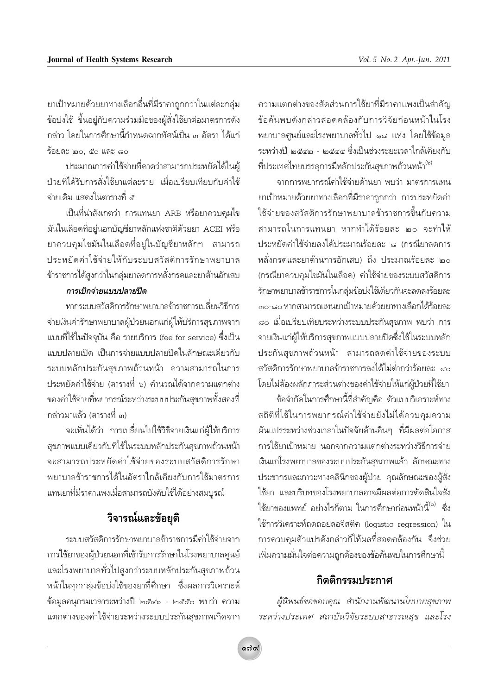ยาเป้าหมายด้วยยาทางเลือกอื่นที่มีราคาถูกกว่าในแต่ละกลุ่ม ข้อบ่งใช้ ขึ้นอยู่กับความร่วมมือของผู้สั่งใช้ยาต่อมาตรการดัง ้กล่าว โดยในการศึกษานี้กำหนดฉากทัศน์เป็น ๓ อัตรา ได้แก่ ว้อยละ ๒๐. ๔๐ และ ๘๐

ประมาณการค่าใช้จ่ายที่คาดว่าสามารถประหยัดได้ในผู้ ป่วยที่ได้รับการสั่งใช้ยาแต่ละราย เมื่อเปรียบเทียบกับค่าใช้ จ่ายเดิม แสดงในตารางที่ ๕

เป็นที่น่าสังเกตว่า การแทนยา ARB หรือยาควบคุมไข มันในเลือดที่อยู่นอกบัญชียาหลักแห่งชาติด้วยยา ACEI หรือ ยาควบคุมไขมันในเลือดที่อยู่ในบัญชียาหลักฯ สามารถ ประหยัดค่าใช้จ่ายให้กับระบบสวัสดิการรักษาพยาบาล ข้าราชการได้สูงกว่าในกลุ่มยาลดการหลั่งกรดและยาต้านอักเสบ

#### การเบิกจ่ายแบบปลายปิด

หากระบบสวัสดิการรักษาพยาบาลข้าราชการเปลี่ยนวิธีการ จ่ายเงินค่ารักษาพยาบาลผู้ป่วยนอกแก่ผู้ให้บริการสุขภาพจาก แบบที่ใช้ในปัจจุบัน คือ รายบริการ (fee for service) ซึ่งเป็น แบบปลายเปิด เป็นการจ่ายแบบปลายปิดในลักษณะเดียวกับ ระบบหลักประกันสุขภาพถ้วนหน้า ความสามารถในการ ประหยัดค่าใช้จ่าย (ตารางที่ ๖) คำนวณได้จากความแตกต่าง ของค่าใช้จ่ายที่พยากรณ์ระหว่างระบบประกันสุขภาพทั้งสองที่ ึกล่าวมาแล้ว (ตารางที่ ๓)

จะเห็นได้ว่า การเปลี่ยนไปใช้วิธีจ่ายเงินแก่ผู้ให้บริการ สุขภาพแบบเดียวกับที่ใช้ในระบบหลักประกันสุขภาพถ้วนหน้า จะสามารถประหยัดค่าใช้จ่ายของระบบสวัสดิการรักษา พยาบาลข้าราชการได้ในอัตราใกล้เคียงกับการใช้มาตรการ แทนยาที่มีราคาแพงเมื่อสามารถบังคับใช้ได้อย่างสมบูรณ์

# วิจารณ์และข้อยุติ

ระบบสวัสดิการรักษาพยาบาลข้าราชการมีค่าใช้จ่ายจาก การใช้ยาของผู้ป่วยนอกที่เข้ารับการรักษาในโรงพยาบาลศูนย์ และโรงพยาบาลทั่วไปสูงกว่าระบบหลักประกันสุขภาพถ้วน หน้าในทุกกลุ่มข้อบ่งใช้ของยาที่ศึกษา ซึ่งผลการวิเคราะห์ ข้อมูลอนุกรมเวลาระหว่างปี ๒๕๔๖ - ๒๕๕๐ พบว่า ความ แตกต่างของค่าใช้จ่ายระหว่างระบบประกันสุขภาพเกิดจาก

้ความแตกต่างของสัดส่วนการใช้ยาที่มีราคาแพงเป็นสำคัญ ข้อค้นพบดังกล่าวสอดคล้องกับการวิจัยก่อนหน้าในโรง ้พยาบาลศูนย์และโรงพยาบาลทั่วไป ๑๘ แห่ง โดยใช้ข้อมูล ระหว่างปี ๒๕๔๒ - ๒๕๔๔ ซึ่งเป็นช่วงระยะเวลาใกล้เคียงกับ ที่ประเทศไทยบรรลุการมีหลักประกันสุขภาพถ้วนหน้า (<sup>๖)</sup>

จากการพยากรณ์ค่าใช้จ่ายด้านยา พบว่า มาตรการแทน ยาเป้าหมายด้วยยาทางเลือกที่มีราคาถกกว่า การประหยัดค่า ใช้จ่ายของสวัสดิการรักษาพยาบาลข้าราชการขึ้นกับความ สามารถในการแทนยา หากทำได้ร้อยละ ๒๐ จะทำให้ ประหยัดค่าใช้จ่ายลงได้ประมาณร้อยละ ๘ (กรณียาลดการ หลั่งกรดและยาต้านการอักเสบ) ถึง ประมาณร้อยละ ๒๐ (กรณียาควบคุมไขมันในเลือด) ค่าใช้จ่ายของระบบสวัสดิการ รักษาพยาบาลข้าราชการในกลุ่มข้อบ่งใช้เดียวกันจะลดลงร้อยละ ๓๐-๘๐ หากสามารถแทนยาเป้าหมายด้วยยาทางเลือกได้ร้อยละ ี่ ๘๐ เมื่อเปรียบเทียบระหว่างระบบประกันสุขภาพ พบว่า การ จ่ายเงินแก่ผู้ให้บริการสุขภาพแบบปลายปิดซึ่งใช้ในระบบหลัก ประกันสุขภาพถ้วนหน้า สามารถลดค่าใช้จ่ายของระบบ สวัสดิการรักษาพยาบาลข้าราชการลงได้ไม่ต่ำกว่าร้อยละ ๔๐ โดยไม่ต้องผลักภาระส่วนต่างของค่าใช้จ่ายให้แก่ผู้ป่วยที่ใช้ยา

ข้อจำกัดในการศึกษานี้ที่สำคัญคือ ตัวแบบวิเคราะห์ทาง สถิติที่ใช้ในการพยากรณ์ค่าใช้จ่ายยังไม่ได้ควบคมความ ผันแปรระหว่างช่วงเวลาในปัจจัยด้านอื่นๆ ที่มีผลต่อโอกาส การใช้ยาเป้าหมาย นอกจากความแตกต่างระหว่างวิธีการจ่าย เงินแก่โรงพยาบาลของระบบประกันสุขภาพแล้ว ลักษณะทาง ประชากรและภาวะทางคลินิกของผู้ป่วย คุณลักษณะของผู้สั่ง ใช้ยา และบริบทของโรงพยาบาลอาจมีผลต่อการตัดสินใจสั่ง ใช้ยาของแพทย์ อย่างไรก็ตาม ในการศึกษาก่อนหน้านี้<sup>ใจ)</sup> ซึ่ง ใช้การวิเคราะห์ถดถอยลอจิสติค (logistic regression) ใน การควบคุมตัวแปรดังกล่าวก็ให้ผลที่สอดคล้องกัน จึงช่วย เพิ่มความมั่นใจต่อความถูกต้องของข้อค้นพบในการศึกษานี้

### กิตติกรรมประกาศ

ผู้นิพนธ์ขอขอบคุณ สำนักงานพัฒนานโยบายสุขภาพ ระหว่างประเทศ สถาบันวิจัยระบบสาธารณสุข และโรง